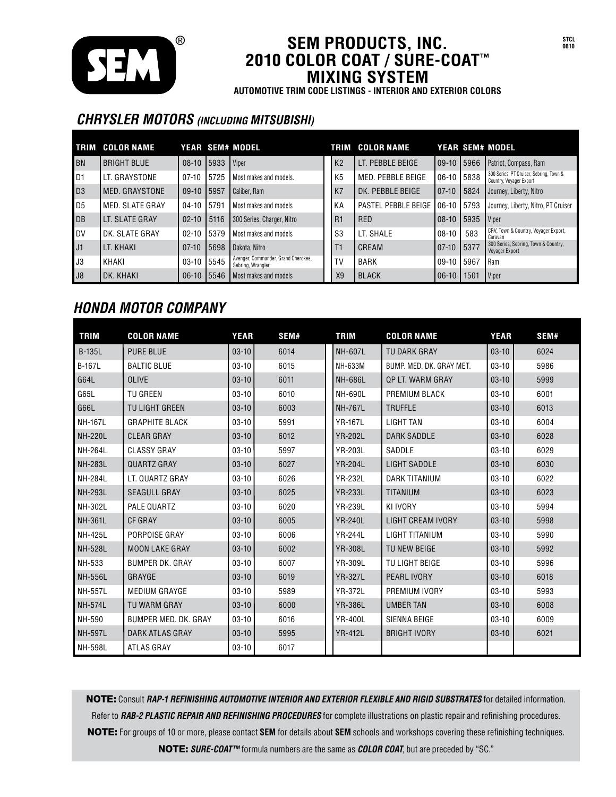

#### **SEM PRODUCTS, INC. 2010 COLOR COAT / SURE-COAT™ MIXING SYSTEM**

**AUTOMOTIVE TRIM CODE LISTINGS - INTERIOR AND EXTERIOR COLORS**

### *CHRYSLER MOTORS (INCLUDING MITSUBISHI)*

| <b>TRIM</b>    | <b>COLOR NAME</b>  |             |       | YEAR SEM# MODEL                                          |                | TRIM COLOR NAME     |              |      | <b>YEAR SEM# MODEL</b>                                             |
|----------------|--------------------|-------------|-------|----------------------------------------------------------|----------------|---------------------|--------------|------|--------------------------------------------------------------------|
| <b>BN</b>      | <b>BRIGHT BLUE</b> | $08 - 10$   | 15933 | Viper                                                    | K <sub>2</sub> | LT. PEBBLE BEIGE    | 109-10 15966 |      | Patriot, Compass, Ram                                              |
| D1             | LT. GRAYSTONE      | $07-10$     | 5725  | Most makes and models.                                   | K <sub>5</sub> | MED. PEBBLE BEIGE   | 06-10 5838   |      | 300 Series, PT Cruiser, Sebring, Town &<br>Country, Voyager Export |
| D <sub>3</sub> | MED. GRAYSTONE     | $09-10$     | 15957 | Caliber, Ram                                             | K7             | DK. PEBBLE BEIGE    | $ 07-10 $    | 5824 | Journey, Liberty, Nitro                                            |
| D <sub>5</sub> | MED. SLATE GRAY    | $04-10$     | 5791  | Most makes and models                                    | KА             | PASTEL PEBBLE BEIGE | $106 - 10$   | 5793 | Journey, Liberty, Nitro, PT Cruiser                                |
| <b>DB</b>      | LT. SLATE GRAY     | $02 - 10$   | 5116  | 300 Series, Charger, Nitro                               | R1             | <b>RED</b>          | $108 - 10$   | 5935 | <i><u><b>I</b>Viper</u></i>                                        |
| I DV           | DK. SLATE GRAY     | $02 - 10$   | 5379  | Most makes and models                                    | S <sub>3</sub> | LT. SHALE           | $08-10$      | 583  | CRV, Town & Country, Voyager Export,<br>Caravan                    |
| J1             | LT. KHAKI          | $07-10$     | 15698 | Dakota, Nitro                                            | Τ1             | CREAM               | $ 07-10 $    | 5377 | 300 Series, Sebring, Town & Country,<br>Voyager Export             |
| J3             | KHAKI              | $03-10$     | 5545  | Avenger, Commander, Grand Cherokee,<br>Sebring, Wrangler | TV             | <b>BARK</b>         | $09-10$      | 5967 | Ram                                                                |
| J8             | DK. KHAKI          | 06-10 15546 |       | Most makes and models                                    | X <sub>9</sub> | <b>BLACK</b>        | $106-10$     | 1501 | Viper                                                              |

## *HONDA MOTOR COMPANY*

| <b>TRIM</b>    | <b>COLOR NAME</b>      | <b>YEAR</b> | SEM# | <b>TRIM</b>    | <b>COLOR NAME</b>        | <b>YEAR</b> | SEM# |
|----------------|------------------------|-------------|------|----------------|--------------------------|-------------|------|
| <b>B-135L</b>  | <b>PURE BLUE</b>       | $03-10$     | 6014 | <b>NH-607L</b> | TU DARK GRAY             | $03-10$     | 6024 |
| <b>B-167L</b>  | <b>BALTIC BLUE</b>     | $03-10$     | 6015 | NH-633M        | BUMP, MED, DK, GRAY MET. | $03-10$     | 5986 |
| G64L           | <b>OLIVE</b>           | $03-10$     | 6011 | <b>NH-686L</b> | <b>QP LT. WARM GRAY</b>  | $03-10$     | 5999 |
| G65L           | <b>TU GREEN</b>        | $03-10$     | 6010 | <b>NH-690L</b> | PREMIUM BLACK            | $03-10$     | 6001 |
| G66L           | TU LIGHT GREEN         | $03-10$     | 6003 | <b>NH-767L</b> | <b>TRUFFLE</b>           | $03-10$     | 6013 |
| <b>NH-167L</b> | <b>GRAPHITE BLACK</b>  | $03-10$     | 5991 | <b>YR-167L</b> | <b>LIGHT TAN</b>         | $03-10$     | 6004 |
| <b>NH-220L</b> | <b>CLEAR GRAY</b>      | $03-10$     | 6012 | <b>YR-202L</b> | <b>DARK SADDLE</b>       | $03-10$     | 6028 |
| <b>NH-264L</b> | <b>CLASSY GRAY</b>     | $03-10$     | 5997 | <b>YR-203L</b> | SADDLE                   | $03-10$     | 6029 |
| <b>NH-283L</b> | <b>QUARTZ GRAY</b>     | $03-10$     | 6027 | <b>YR-204L</b> | <b>LIGHT SADDLE</b>      | $03-10$     | 6030 |
| <b>NH-284L</b> | LT. QUARTZ GRAY        | $03-10$     | 6026 | <b>YR-232L</b> | <b>DARK TITANIUM</b>     | $03-10$     | 6022 |
| <b>NH-293L</b> | <b>SEAGULL GRAY</b>    | $03-10$     | 6025 | <b>YR-233L</b> | <b>TITANIUM</b>          | $03-10$     | 6023 |
| NH-302L        | PALE QUARTZ            | $03-10$     | 6020 | <b>YR-239L</b> | KI IVORY                 | $03-10$     | 5994 |
| <b>NH-361L</b> | <b>CF GRAY</b>         | $03-10$     | 6005 | <b>YR-240L</b> | <b>LIGHT CREAM IVORY</b> | $03-10$     | 5998 |
| <b>NH-425L</b> | PORPOISE GRAY          | $03-10$     | 6006 | <b>YR-244L</b> | LIGHT TITANIUM           | $03-10$     | 5990 |
| <b>NH-528L</b> | <b>MOON LAKE GRAY</b>  | $03-10$     | 6002 | <b>YR-308L</b> | TU NEW BEIGE             | $03-10$     | 5992 |
| NH-533         | <b>BUMPER DK. GRAY</b> | $03-10$     | 6007 | <b>YR-309L</b> | TU LIGHT BEIGE           | $03-10$     | 5996 |
| <b>NH-556L</b> | GRAYGE                 | $03-10$     | 6019 | <b>YR-327L</b> | <b>PEARL IVORY</b>       | $03-10$     | 6018 |
| <b>NH-557L</b> | <b>MEDIUM GRAYGE</b>   | $03-10$     | 5989 | <b>YR-372L</b> | PREMIUM IVORY            | $03-10$     | 5993 |
| <b>NH-574L</b> | TU WARM GRAY           | $03-10$     | 6000 | <b>YR-386L</b> | <b>UMBER TAN</b>         | $03-10$     | 6008 |
| NH-590         | BUMPER MED. DK. GRAY   | $03-10$     | 6016 | <b>YR-400L</b> | SIENNA BEIGE             | $03-10$     | 6009 |
| <b>NH-597L</b> | DARK ATLAS GRAY        | $03-10$     | 5995 | <b>YR-412L</b> | <b>BRIGHT IVORY</b>      | $03-10$     | 6021 |
| <b>NH-598L</b> | ATLAS GRAY             | $03-10$     | 6017 |                |                          |             |      |

NOTE: Consult *RAP-1 REFINISHING AUTOMOTIVE INTERIOR AND EXTERIOR FLEXIBLE AND RIGID SUBSTRATES* for detailed information. Refer to *RAB-2 PLASTIC REPAIR AND REFINISHING PROCEDURES* for complete illustrations on plastic repair and refinishing procedures. NOTE: For groups of 10 or more, please contact **SEM** for details about **SEM** schools and workshops covering these refinishing techniques. NOTE: *SURE-COAT™* formula numbers are the same as *COLOR COAT*, but are preceded by "SC."